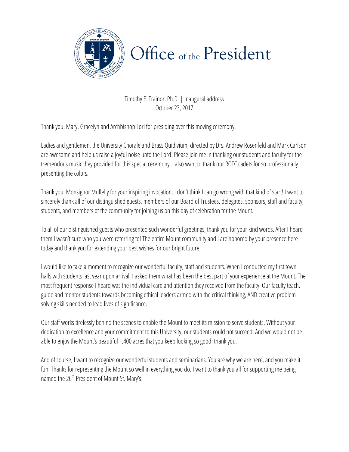

Timothy E. Trainor, Ph.D. | Inaugural address October 23, 2017

Thank you, Mary, Gracelyn and Archbishop Lori for presiding over this moving ceremony.

Ladies and gentlemen, the University Chorale and Brass Quidivium, directed by Drs. Andrew Rosenfeld and Mark Carlson are awesome and help us raise a joyful noise unto the Lord! Please join me in thanking our students and faculty for the tremendous music they provided for this special ceremony. I also want to thank our ROTC cadets for so professionally presenting the colors.

Thank you, Monsignor Mullelly for your inspiring invocation; I don't think I can go wrong with that kind of start! I want to sincerely thank all of our distinguished guests, members of our Board of Trustees, delegates, sponsors, staff and faculty, students, and members of the community for joining us on this day of celebration for the Mount.

To all of our distinguished guests who presented such wonderful greetings, thank you for your kind words. After I heard them I wasn't sure who you were referring to! The entire Mount community and I are honored by your presence here today and thank you for extending your best wishes for our bright future.

I would like to take a moment to recognize our wonderful faculty, staff and students. When I conducted my first town halls with students last year upon arrival, I asked them what has been the best part of your experience at the Mount. The most frequent response I heard was the individual care and attention they received from the faculty. Our faculty teach, guide and mentor students towards becoming ethical leaders armed with the critical thinking, AND creative problem solving skills needed to lead lives of significance.

Our staff works tirelessly behind the scenes to enable the Mount to meet its mission to serve students. Without your dedication to excellence and your commitment to this University, our students could not succeed. And we would not be able to enjoy the Mount's beautiful 1,400 acres that you keep looking so good; thank you.

And of course, I want to recognize our wonderful students and seminarians. You are why we are here, and you make it named the 26<sup>th</sup> President of Mount St. Mary's. fun! Thanks for representing the Mount so well in everything you do. I want to thank you all for supporting me being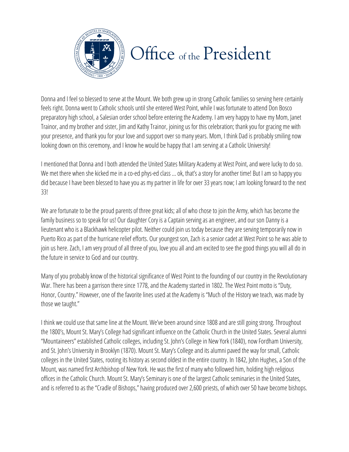

Donna and I feel so blessed to serve at the Mount. We both grew up in strong Catholic families so serving here certainly feels right. Donna went to Catholic schools until she entered West Point, while I was fortunate to attend Don Bosco preparatory high school, a Salesian order school before entering the Academy. I am very happy to have my Mom, Janet Trainor, and my brother and sister, Jim and Kathy Trainor, joining us for this celebration; thank you for gracing me with your presence, and thank you for your love and support over so many years. Mom, I think Dad is probably smiling now looking down on this ceremony, and I know he would be happy that I am serving at a Catholic University!

I mentioned that Donna and I both attended the United States Military Academy at West Point, and were lucky to do so. We met there when she kicked me in a co-ed phys-ed class ... ok, that's a story for another time! But I am so happy you did because I have been blessed to have you as my partner in life for over 33 years now; I am looking forward to the next 33!

We are fortunate to be the proud parents of three great kids; all of who chose to join the Army, which has become the family business so to speak for us! Our daughter Cory is a Captain serving as an engineer, and our son Danny is a lieutenant who is a Blackhawk helicopter pilot. Neither could join us today because they are serving temporarily now in Puerto Rico as part of the hurricane relief efforts. Our youngest son, Zach is a senior cadet at West Point so he was able to join us here. Zach, I am very proud of all three of you, love you all and am excited to see the good things you will all do in the future in service to God and our country.

Many of you probably know of the historical significance of West Point to the founding of our country in the Revolutionary War. There has been a garrison there since 1778, and the Academy started in 1802. The West Point motto is "Duty, Honor, Country." However, one of the favorite lines used at the Academy is "Much of the History we teach, was made by those we taught."

colleges in the United States, rooting its history as second oldest in the entire country. In 1842, John Hughes, a Son of the offices in the Catholic Church. Mount St. Mary's Seminary is one of the largest Catholic seminaries in the United States, I think we could use that same line at the Mount. We've been around since 1808 and are still going strong. Throughout the 1800's, Mount St. Mary's College had significant influence on the Catholic Church in the United States. Several alumni "Mountaineers" established Catholic colleges, including St. John's College in New York (1840), now Fordham University, and St. John's University in Brooklyn (1870). Mount St. Mary's College and its alumni paved the way for small, Catholic Mount, was named first Archbishop of New York. He was the first of many who followed him, holding high religious and is referred to as the "Cradle of Bishops," having produced over 2,600 priests, of which over 50 have become bishops.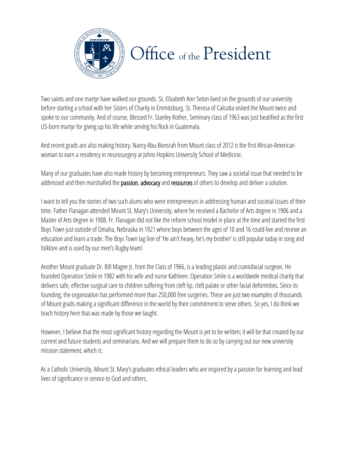

Two saints and one martyr have walked our grounds. St. Elizabeth Ann Seton lived on the grounds of our university before starting a school with her Sisters of Charity in Emmitsburg. St. Theresa of Calcutta visited the Mount twice and spoke to our community. And of course, Blessed Fr. Stanley Rother, Seminary class of 1963 was just beatified as the first US-born martyr for giving up his life while serving his flock in Guatemala.

And recent grads are also making history. Nancy Abu-Bonsrah from Mount class of 2012 is the first African-American woman to earn a residency in neurosurgery at Johns Hopkins University School of Medicine.

Many of our graduates have also made history by becoming entrepreneurs. They saw a societal issue that needed to be addressed and then marshalled the **passion, advocacy** and resources of others to develop and deliver a solution.

I want to tell you the stories of two such alums who were entrepreneurs in addressing human and societal issues of their time. Father Flanagan attended Mount St. Mary's University, where he received a Bachelor of Arts degree in 1906 and a Master of Arts degree in 1908. Fr. Flanagan did not like the reform school model in place at the time and started the first Boys Town just outside of Omaha, Nebraska in 1921 where boys between the ages of 10 and 16 could live and receive an education and learn a trade. The Boys Town tag line of 'He ain't heavy, he's my brother' is still popular today in song and folklore and is used by our men's Rugby team!

Another Mount graduate Dr. Bill Magee Jr. from the Class of 1966, is a leading plastic and craniofacial surgeon. He founded Operation Smile in 1982 with his wife and nurse Kathleen. Operation Smile is a worldwide medical charity that delivers safe, effective surgical care to children suffering from cleft lip, cleft palate or other facial deformities. Since its founding, the organization has performed more than 250,000 free surgeries. These are just two examples of thousands of Mount grads making a significant difference in the world by their commitment to serve others. So yes, I do think we teach history here that was made by those we taught.

However, I believe that the most significant history regarding the Mount is yet to be written; it will be that created by our current and future students and seminarians. And we will prepare them to do so by carrying out our new university mission statement, which is:

lives of significance in service to God and others. The extended of significance in service to God and others. As a Catholic University, Mount St. Mary's graduates ethical leaders who are inspired by a passion for learning and lead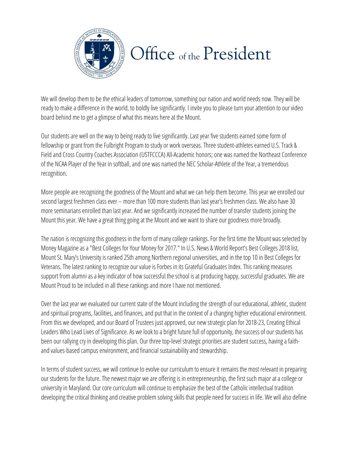

We will develop them to be the ethical leaders of tomorrow, something our nation and world needs now. They will be ready to make a difference in the world, to boldly live significantly. I invite you to please turn your attention to our video board behind me to get a glimpse of what this means here at the Mount.

Our students are well on the way to being ready to live significantly. Last year five students earned some form of fellowship or grant from the Fulbright Program to study or work overseas. Three student-athletes earned U.S. Track & Field and Cross Country Coaches Association (USTFCCCA) All-Academic honors; one was named the Northeast Conference of the NCAA Player of the Year in softball, and one was named the NEC Scholar-Athlete of the Year, a tremendous recognition.

More people are recognizing the goodness of the Mount and what we can help them become. This year we enrolled our second largest freshmen classever – more than 100 more students than last year's freshmen class. We also have 30 more seminarians enrolled than last year. And we significantly increased the number of transfer students joining the Mount this year. We have a great thing going at the Mount and we want to share our goodness more broadly.

The nation is recognizing this goodness in the form of many college rankings. For the first time the Mount was selected by Money Magazine as a "Best Colleges for Your Money for 2017." In U.S. News & World Report's Best Colleges 2018 list, Mount St. Mary's University is ranked 25th among Northern regional universities, and in the top 10 in Best Colleges for Veterans. The latest ranking to recognize our value is Forbes in its Grateful Graduates Index. This ranking measures support from alumni as a key indicator of how successful the school is at producing happy, successful graduates. We are Mount Proud to be included in all these rankings and more I have not mentioned.

Over the last year we evaluated our current state of the Mount including the strength of our educational, athletic, student and spiritual programs, facilities, and finances, and put that in the context of a changing higher educational environment. From this we developed, and our Board of Trustees just approved, our new strategic plan for 2018-23, Creating Ethical Leaders Who Lead Lives of Significance. As we look to a bright future full of opportunity, the success of our students has been our rallying cry in developing this plan. Our three top-level strategic priorities are student success, having a faithand values-based campus environment, and financial sustainability and stewardship.

our students for the future. The newest major we are offering is in entrepreneurship, the first such major at a college or In terms of student success, we will continue to evolve our curriculum to ensure it remains the most relevant in preparing university in Maryland. Our core curriculum will continue to emphasize the best of the Catholic intellectual tradition developing the critical thinking and creative problem solving skills that people need for success in life. We will also define